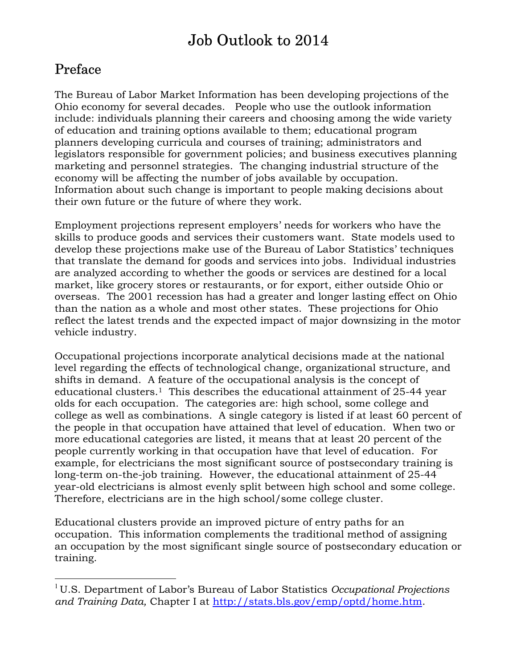# Job Outlook to 2014

# Preface

 $\overline{a}$ 

The Bureau of Labor Market Information has been developing projections of the Ohio economy for several decades. People who use the outlook information include: individuals planning their careers and choosing among the wide variety of education and training options available to them; educational program planners developing curricula and courses of training; administrators and legislators responsible for government policies; and business executives planning marketing and personnel strategies. The changing industrial structure of the economy will be affecting the number of jobs available by occupation. Information about such change is important to people making decisions about their own future or the future of where they work.

Employment projections represent employers' needs for workers who have the skills to produce goods and services their customers want. State models used to develop these projections make use of the Bureau of Labor Statistics' techniques that translate the demand for goods and services into jobs. Individual industries are analyzed according to whether the goods or services are destined for a local market, like grocery stores or restaurants, or for export, either outside Ohio or overseas. The 2001 recession has had a greater and longer lasting effect on Ohio than the nation as a whole and most other states. These projections for Ohio reflect the latest trends and the expected impact of major downsizing in the motor vehicle industry.

Occupational projections incorporate analytical decisions made at the national level regarding the effects of technological change, organizational structure, and shifts in demand. A feature of the occupational analysis is the concept of educational clusters.<sup>1</sup> This describes the educational attainment of 25-44 year olds for each occupation. The categories are: high school, some college and college as well as combinations. A single category is listed if at least 60 percent of the people in that occupation have attained that level of education. When two or more educational categories are listed, it means that at least 20 percent of the people currently working in that occupation have that level of education. For example, for electricians the most significant source of postsecondary training is long-term on-the-job training. However, the educational attainment of 25-44 year-old electricians is almost evenly split between high school and some college. Therefore, electricians are in the high school/some college cluster.

Educational clusters provide an improved picture of entry paths for an occupation. This information complements the traditional method of assigning an occupation by the most significant single source of postsecondary education or training.

<sup>1</sup>U.S. Department of Labor's Bureau of Labor Statistics *Occupational Projections and Training Data,* Chapter I at [http://stats.bls.gov/emp/optd/home.htm.](http://stats.bls.gov/emp/optd/home.htm)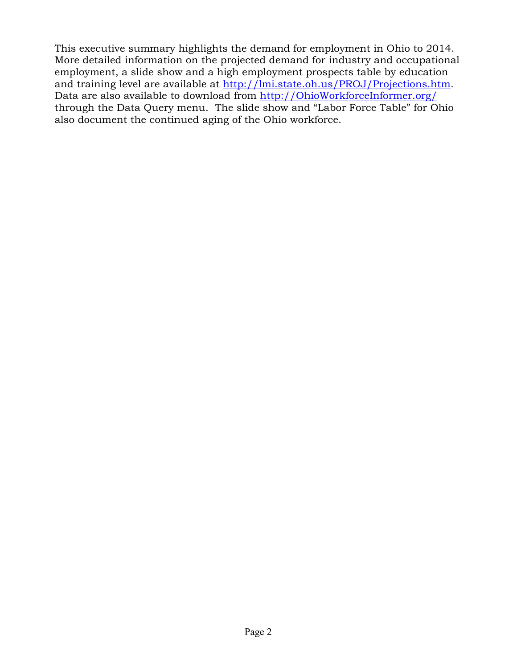This executive summary highlights the demand for employment in Ohio to 2014. More detailed information on the projected demand for industry and occupational employment, a slide show and a high employment prospects table by education and training level are available at [http://lmi.state.oh.us/PROJ/Projections.htm.](http://lmi.state.oh.us/PROJ/Projections.htm)  Data are also available to download from <http://OhioWorkforceInformer.org/> through the Data Query menu. The slide show and "Labor Force Table" for Ohio also document the continued aging of the Ohio workforce.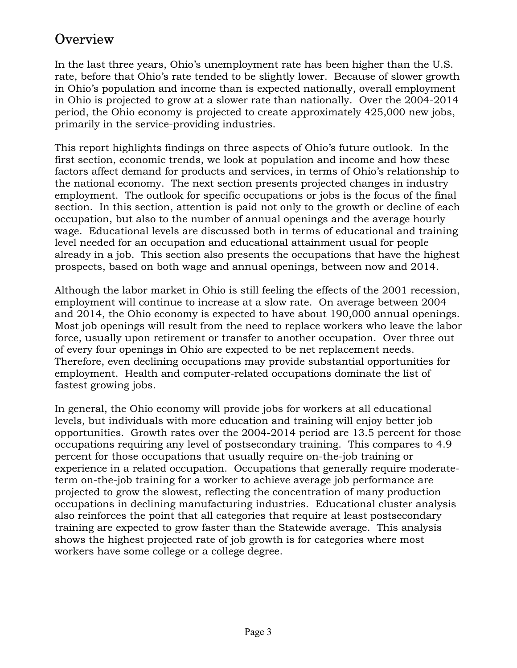# **Overview**

In the last three years, Ohio's unemployment rate has been higher than the U.S. rate, before that Ohio's rate tended to be slightly lower. Because of slower growth in Ohio's population and income than is expected nationally, overall employment in Ohio is projected to grow at a slower rate than nationally. Over the 2004-2014 period, the Ohio economy is projected to create approximately 425,000 new jobs, primarily in the service-providing industries.

This report highlights findings on three aspects of Ohio's future outlook. In the first section, economic trends, we look at population and income and how these factors affect demand for products and services, in terms of Ohio's relationship to the national economy. The next section presents projected changes in industry employment. The outlook for specific occupations or jobs is the focus of the final section. In this section, attention is paid not only to the growth or decline of each occupation, but also to the number of annual openings and the average hourly wage. Educational levels are discussed both in terms of educational and training level needed for an occupation and educational attainment usual for people already in a job. This section also presents the occupations that have the highest prospects, based on both wage and annual openings, between now and 2014.

Although the labor market in Ohio is still feeling the effects of the 2001 recession, employment will continue to increase at a slow rate. On average between 2004 and 2014, the Ohio economy is expected to have about 190,000 annual openings. Most job openings will result from the need to replace workers who leave the labor force, usually upon retirement or transfer to another occupation. Over three out of every four openings in Ohio are expected to be net replacement needs. Therefore, even declining occupations may provide substantial opportunities for employment. Health and computer-related occupations dominate the list of fastest growing jobs.

In general, the Ohio economy will provide jobs for workers at all educational levels, but individuals with more education and training will enjoy better job opportunities. Growth rates over the 2004-2014 period are 13.5 percent for those occupations requiring any level of postsecondary training. This compares to 4.9 percent for those occupations that usually require on-the-job training or experience in a related occupation. Occupations that generally require moderateterm on-the-job training for a worker to achieve average job performance are projected to grow the slowest, reflecting the concentration of many production occupations in declining manufacturing industries. Educational cluster analysis also reinforces the point that all categories that require at least postsecondary training are expected to grow faster than the Statewide average. This analysis shows the highest projected rate of job growth is for categories where most workers have some college or a college degree.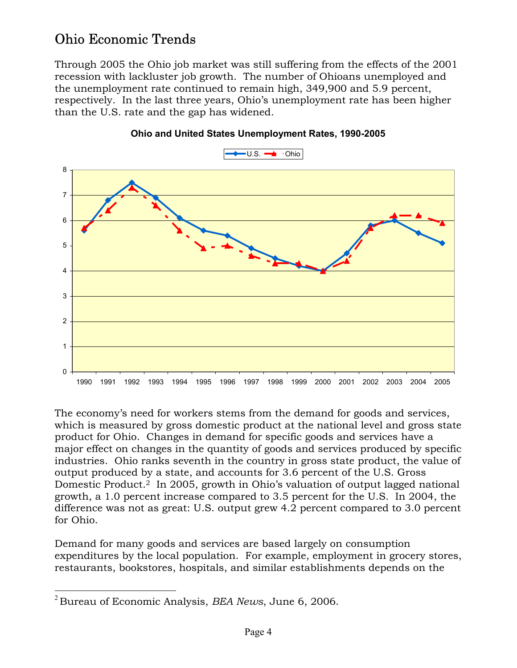# Ohio Economic Trends

Through 2005 the Ohio job market was still suffering from the effects of the 2001 recession with lackluster job growth. The number of Ohioans unemployed and the unemployment rate continued to remain high, 349,900 and 5.9 percent, respectively. In the last three years, Ohio's unemployment rate has been higher than the U.S. rate and the gap has widened.



### **Ohio and United States Unemployment Rates, 1990-2005**

The economy's need for workers stems from the demand for goods and services, which is measured by gross domestic product at the national level and gross state product for Ohio. Changes in demand for specific goods and services have a major effect on changes in the quantity of goods and services produced by specific industries. Ohio ranks seventh in the country in gross state product, the value of output produced by a state, and accounts for 3.6 percent of the U.S. Gross Domestic Product.2 In 2005, growth in Ohio's valuation of output lagged national growth, a 1.0 percent increase compared to 3.5 percent for the U.S. In 2004, the difference was not as great: U.S. output grew 4.2 percent compared to 3.0 percent for Ohio.

Demand for many goods and services are based largely on consumption expenditures by the local population. For example, employment in grocery stores, restaurants, bookstores, hospitals, and similar establishments depends on the

 $\overline{a}$ <sup>2</sup>Bureau of Economic Analysis, *BEA News*, June 6, 2006.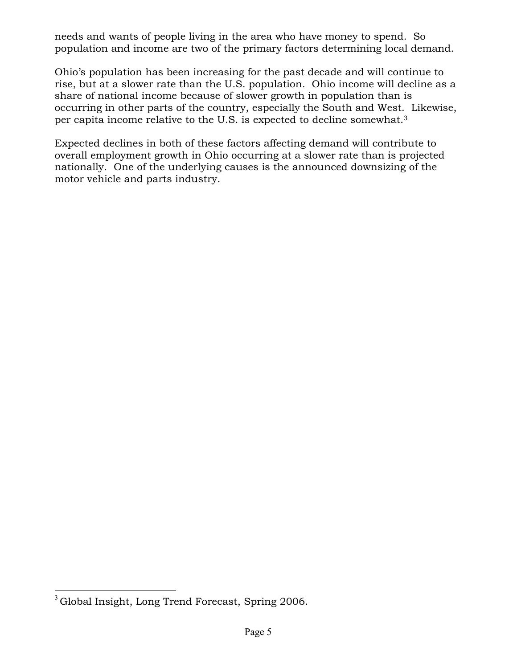needs and wants of people living in the area who have money to spend. So population and income are two of the primary factors determining local demand.

Ohio's population has been increasing for the past decade and will continue to rise, but at a slower rate than the U.S. population. Ohio income will decline as a share of national income because of slower growth in population than is occurring in other parts of the country, especially the South and West. Likewise, per capita income relative to the U.S. is expected to decline somewhat.3

Expected declines in both of these factors affecting demand will contribute to overall employment growth in Ohio occurring at a slower rate than is projected nationally. One of the underlying causes is the announced downsizing of the motor vehicle and parts industry.

 $\overline{a}$  $3$ Global Insight, Long Trend Forecast, Spring 2006.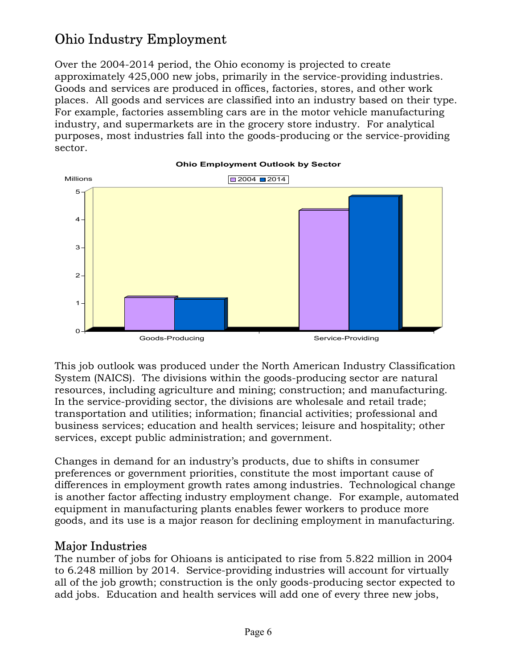# Ohio Industry Employment

Over the 2004-2014 period, the Ohio economy is projected to create approximately 425,000 new jobs, primarily in the service-providing industries. Goods and services are produced in offices, factories, stores, and other work places. All goods and services are classified into an industry based on their type. For example, factories assembling cars are in the motor vehicle manufacturing industry, and supermarkets are in the grocery store industry. For analytical purposes, most industries fall into the goods-producing or the service-providing sector.



This job outlook was produced under the North American Industry Classification System (NAICS). The divisions within the goods-producing sector are natural resources, including agriculture and mining; construction; and manufacturing. In the service-providing sector, the divisions are wholesale and retail trade; transportation and utilities; information; financial activities; professional and business services; education and health services; leisure and hospitality; other services, except public administration; and government.

Changes in demand for an industry's products, due to shifts in consumer preferences or government priorities, constitute the most important cause of differences in employment growth rates among industries. Technological change is another factor affecting industry employment change. For example, automated equipment in manufacturing plants enables fewer workers to produce more goods, and its use is a major reason for declining employment in manufacturing.

## Major Industries

The number of jobs for Ohioans is anticipated to rise from 5.822 million in 2004 to 6.248 million by 2014. Service-providing industries will account for virtually all of the job growth; construction is the only goods-producing sector expected to add jobs. Education and health services will add one of every three new jobs,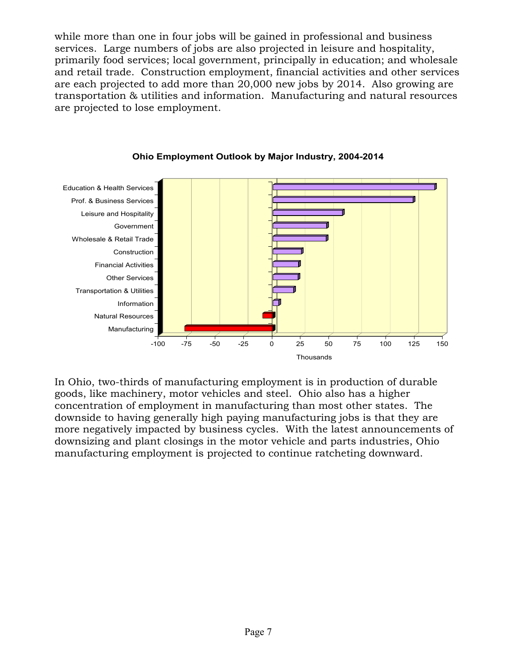while more than one in four jobs will be gained in professional and business services. Large numbers of jobs are also projected in leisure and hospitality, primarily food services; local government, principally in education; and wholesale and retail trade. Construction employment, financial activities and other services are each projected to add more than 20,000 new jobs by 2014. Also growing are transportation & utilities and information. Manufacturing and natural resources are projected to lose employment.



### **Ohio Employment Outlook by Major Industry, 2004-2014**

In Ohio, two-thirds of manufacturing employment is in production of durable goods, like machinery, motor vehicles and steel. Ohio also has a higher concentration of employment in manufacturing than most other states. The downside to having generally high paying manufacturing jobs is that they are more negatively impacted by business cycles. With the latest announcements of downsizing and plant closings in the motor vehicle and parts industries, Ohio manufacturing employment is projected to continue ratcheting downward.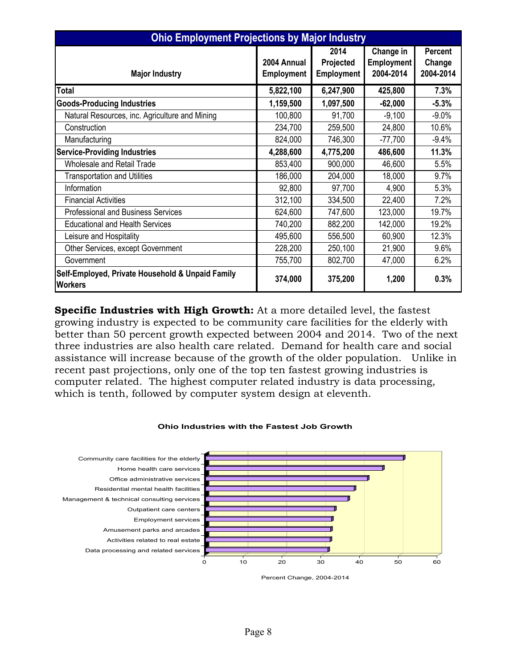| <b>Ohio Employment Projections by Major Industry</b>               |                                  |                                        |                                             |                                |  |
|--------------------------------------------------------------------|----------------------------------|----------------------------------------|---------------------------------------------|--------------------------------|--|
| <b>Major Industry</b>                                              | 2004 Annual<br><b>Employment</b> | 2014<br>Projected<br><b>Employment</b> | Change in<br><b>Employment</b><br>2004-2014 | Percent<br>Change<br>2004-2014 |  |
| <b>Total</b>                                                       | 5,822,100                        | 6,247,900                              | 425,800                                     | 7.3%                           |  |
| <b>Goods-Producing Industries</b>                                  | 1,159,500                        | 1,097,500                              | $-62,000$                                   | $-5.3%$                        |  |
| Natural Resources, inc. Agriculture and Mining                     | 100,800                          | 91,700                                 | $-9,100$                                    | $-9.0%$                        |  |
| Construction                                                       | 234,700                          | 259,500                                | 24,800                                      | 10.6%                          |  |
| Manufacturing                                                      | 824,000                          | 746,300                                | $-77,700$                                   | $-9.4%$                        |  |
| <b>Service-Providing Industries</b>                                | 4,288,600                        | 4,775,200                              | 486,600                                     | 11.3%                          |  |
| <b>Wholesale and Retail Trade</b>                                  | 853,400                          | 900,000                                | 46,600                                      | 5.5%                           |  |
| <b>Transportation and Utilities</b>                                | 186,000                          | 204,000                                | 18,000                                      | 9.7%                           |  |
| Information                                                        | 92,800                           | 97,700                                 | 4,900                                       | 5.3%                           |  |
| <b>Financial Activities</b>                                        | 312,100                          | 334,500                                | 22,400                                      | 7.2%                           |  |
| <b>Professional and Business Services</b>                          | 624,600                          | 747,600                                | 123,000                                     | 19.7%                          |  |
| <b>Educational and Health Services</b>                             | 740,200                          | 882,200                                | 142,000                                     | 19.2%                          |  |
| Leisure and Hospitality                                            | 495,600                          | 556,500                                | 60,900                                      | 12.3%                          |  |
| Other Services, except Government                                  | 228,200                          | 250,100                                | 21,900                                      | 9.6%                           |  |
| Government                                                         | 755,700                          | 802,700                                | 47,000                                      | 6.2%                           |  |
| Self-Employed, Private Household & Unpaid Family<br><b>Workers</b> | 374,000                          | 375,200                                | 1,200                                       | 0.3%                           |  |

**Specific Industries with High Growth:** At a more detailed level, the fastest growing industry is expected to be community care facilities for the elderly with better than 50 percent growth expected between 2004 and 2014. Two of the next three industries are also health care related. Demand for health care and social assistance will increase because of the growth of the older population. Unlike in recent past projections, only one of the top ten fastest growing industries is computer related. The highest computer related industry is data processing, which is tenth, followed by computer system design at eleventh.



#### **Ohio Industries with the Fastest Job Growth**

Percent Change, 2004-2014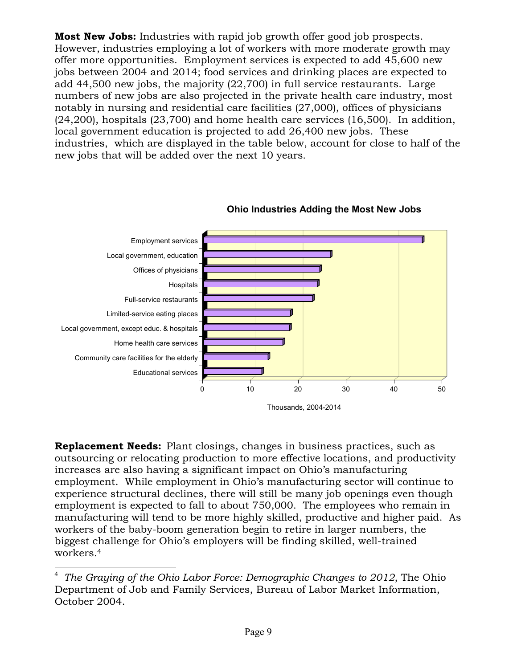**Most New Jobs:** Industries with rapid job growth offer good job prospects. However, industries employing a lot of workers with more moderate growth may offer more opportunities. Employment services is expected to add 45,600 new jobs between 2004 and 2014; food services and drinking places are expected to add 44,500 new jobs, the majority (22,700) in full service restaurants. Large numbers of new jobs are also projected in the private health care industry, most notably in nursing and residential care facilities (27,000), offices of physicians (24,200), hospitals (23,700) and home health care services (16,500). In addition, local government education is projected to add 26,400 new jobs. These industries, which are displayed in the table below, account for close to half of the new jobs that will be added over the next 10 years.



**Ohio Industries Adding the Most New Jobs**

**Replacement Needs:** Plant closings, changes in business practices, such as outsourcing or relocating production to more effective locations, and productivity increases are also having a significant impact on Ohio's manufacturing employment. While employment in Ohio's manufacturing sector will continue to experience structural declines, there will still be many job openings even though employment is expected to fall to about 750,000. The employees who remain in manufacturing will tend to be more highly skilled, productive and higher paid. As workers of the baby-boom generation begin to retire in larger numbers, the biggest challenge for Ohio's employers will be finding skilled, well-trained workers.4

 $\overline{a}$ 

<sup>4</sup>*The Graying of the Ohio Labor Force: Demographic Changes to 2012*, The Ohio Department of Job and Family Services, Bureau of Labor Market Information, October 2004.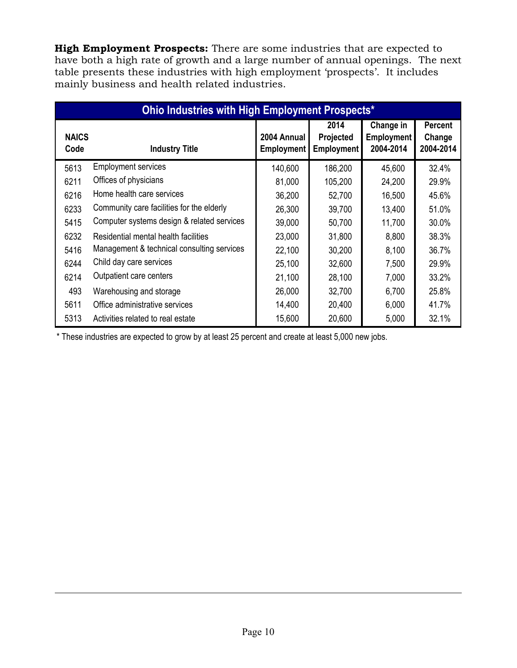**High Employment Prospects:** There are some industries that are expected to have both a high rate of growth and a large number of annual openings. The next table presents these industries with high employment 'prospects'. It includes mainly business and health related industries.

| <b>Ohio Industries with High Employment Prospects*</b> |                                            |                                  |                                        |                                             |                                       |
|--------------------------------------------------------|--------------------------------------------|----------------------------------|----------------------------------------|---------------------------------------------|---------------------------------------|
| <b>NAICS</b><br>Code                                   | <b>Industry Title</b>                      | 2004 Annual<br><b>Employment</b> | 2014<br>Projected<br><b>Employment</b> | Change in<br><b>Employment</b><br>2004-2014 | <b>Percent</b><br>Change<br>2004-2014 |
| 5613                                                   | <b>Employment services</b>                 | 140,600                          | 186,200                                | 45,600                                      | 32.4%                                 |
| 6211                                                   | Offices of physicians                      | 81,000                           | 105,200                                | 24,200                                      | 29.9%                                 |
| 6216                                                   | Home health care services                  | 36,200                           | 52,700                                 | 16,500                                      | 45.6%                                 |
| 6233                                                   | Community care facilities for the elderly  | 26,300                           | 39,700                                 | 13,400                                      | 51.0%                                 |
| 5415                                                   | Computer systems design & related services | 39,000                           | 50,700                                 | 11,700                                      | 30.0%                                 |
| 6232                                                   | Residential mental health facilities       | 23,000                           | 31,800                                 | 8,800                                       | 38.3%                                 |
| 5416                                                   | Management & technical consulting services | 22,100                           | 30,200                                 | 8,100                                       | 36.7%                                 |
| 6244                                                   | Child day care services                    | 25,100                           | 32,600                                 | 7,500                                       | 29.9%                                 |
| 6214                                                   | Outpatient care centers                    | 21,100                           | 28,100                                 | 7,000                                       | 33.2%                                 |
| 493                                                    | Warehousing and storage                    | 26,000                           | 32,700                                 | 6,700                                       | 25.8%                                 |
| 5611                                                   | Office administrative services             | 14,400                           | 20,400                                 | 6,000                                       | 41.7%                                 |
| 5313                                                   | Activities related to real estate          | 15,600                           | 20,600                                 | 5,000                                       | 32.1%                                 |

\* These industries are expected to grow by at least 25 percent and create at least 5,000 new jobs.

<u>.</u>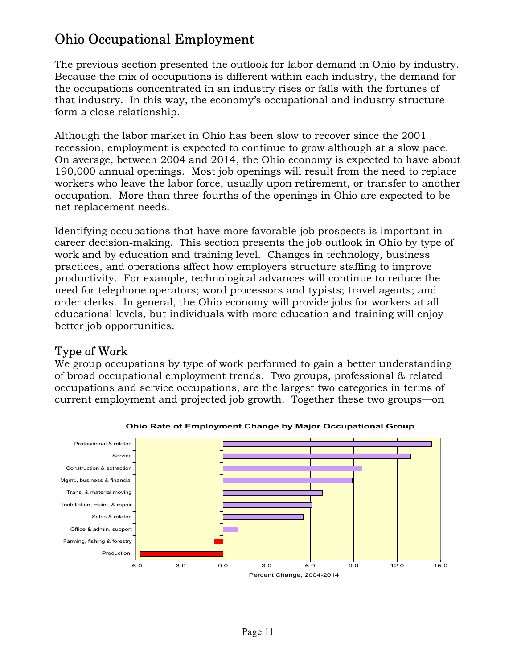# Ohio Occupational Employment

The previous section presented the outlook for labor demand in Ohio by industry. Because the mix of occupations is different within each industry, the demand for the occupations concentrated in an industry rises or falls with the fortunes of that industry. In this way, the economy's occupational and industry structure form a close relationship.

Although the labor market in Ohio has been slow to recover since the 2001 recession, employment is expected to continue to grow although at a slow pace. On average, between 2004 and 2014, the Ohio economy is expected to have about 190,000 annual openings. Most job openings will result from the need to replace workers who leave the labor force, usually upon retirement, or transfer to another occupation. More than three-fourths of the openings in Ohio are expected to be net replacement needs.

Identifying occupations that have more favorable job prospects is important in career decision-making. This section presents the job outlook in Ohio by type of work and by education and training level. Changes in technology, business practices, and operations affect how employers structure staffing to improve productivity. For example, technological advances will continue to reduce the need for telephone operators; word processors and typists; travel agents; and order clerks. In general, the Ohio economy will provide jobs for workers at all educational levels, but individuals with more education and training will enjoy better job opportunities.

## Type of Work

We group occupations by type of work performed to gain a better understanding of broad occupational employment trends. Two groups, professional & related occupations and service occupations, are the largest two categories in terms of current employment and projected job growth. Together these two groups—on



**Ohio Rate of Employment Change by Major Occupational Group**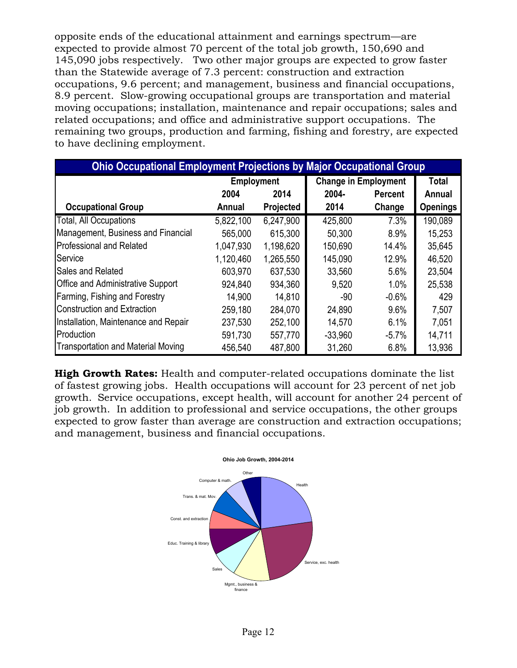opposite ends of the educational attainment and earnings spectrum—are expected to provide almost 70 percent of the total job growth, 150,690 and 145,090 jobs respectively. Two other major groups are expected to grow faster than the Statewide average of 7.3 percent: construction and extraction occupations, 9.6 percent; and management, business and financial occupations, 8.9 percent. Slow-growing occupational groups are transportation and material moving occupations; installation, maintenance and repair occupations; sales and related occupations; and office and administrative support occupations. The remaining two groups, production and farming, fishing and forestry, are expected to have declining employment.

| <b>Ohio Occupational Employment Projections by Major Occupational Group</b> |                   |           |                             |                |                 |
|-----------------------------------------------------------------------------|-------------------|-----------|-----------------------------|----------------|-----------------|
|                                                                             | <b>Employment</b> |           | <b>Change in Employment</b> |                | <b>Total</b>    |
|                                                                             | 2004              | 2014      | $2004 -$                    | <b>Percent</b> | Annual          |
| <b>Occupational Group</b>                                                   | Annual            | Projected | 2014                        | Change         | <b>Openings</b> |
| <b>Total, All Occupations</b>                                               | 5,822,100         | 6,247,900 | 425,800                     | 7.3%           | 190,089         |
| Management, Business and Financial                                          | 565,000           | 615,300   | 50,300                      | 8.9%           | 15,253          |
| <b>Professional and Related</b>                                             | 1,047,930         | 1,198,620 | 150,690                     | 14.4%          | 35,645          |
| Service                                                                     | 1,120,460         | 1,265,550 | 145,090                     | 12.9%          | 46,520          |
| Sales and Related                                                           | 603,970           | 637,530   | 33,560                      | 5.6%           | 23,504          |
| <b>Office and Administrative Support</b>                                    | 924,840           | 934,360   | 9,520                       | 1.0%           | 25,538          |
| Farming, Fishing and Forestry                                               | 14,900            | 14,810    | $-90$                       | $-0.6%$        | 429             |
| <b>Construction and Extraction</b>                                          | 259,180           | 284,070   | 24,890                      | 9.6%           | 7,507           |
| Installation, Maintenance and Repair                                        | 237,530           | 252,100   | 14,570                      | 6.1%           | 7,051           |
| Production                                                                  | 591,730           | 557,770   | $-33,960$                   | $-5.7\%$       | 14,711          |
| <b>Transportation and Material Moving</b>                                   | 456,540           | 487,800   | 31,260                      | 6.8%           | 13,936          |

**High Growth Rates:** Health and computer-related occupations dominate the list of fastest growing jobs. Health occupations will account for 23 percent of net job growth. Service occupations, except health, will account for another 24 percent of job growth. In addition to professional and service occupations, the other groups expected to grow faster than average are construction and extraction occupations; and management, business and financial occupations.

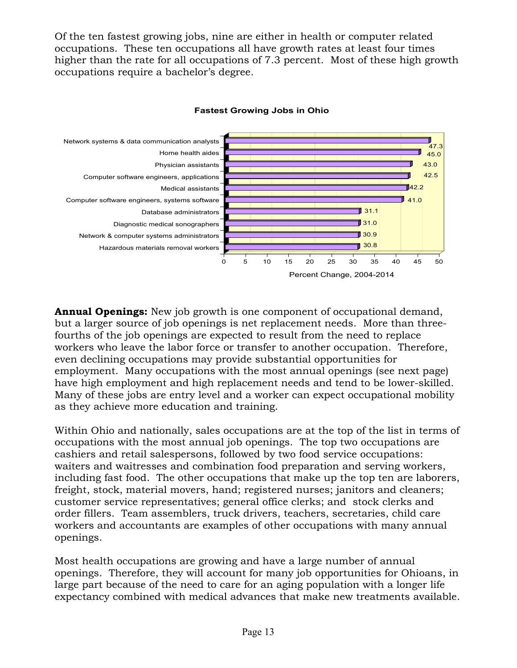Of the ten fastest growing jobs, nine are either in health or computer related occupations. These ten occupations all have growth rates at least four times higher than the rate for all occupations of 7.3 percent. Most of these high growth occupations require a bachelor's degree.



### **Fastest Growing Jobs in Ohio**

**Annual Openings:** New job growth is one component of occupational demand, but a larger source of job openings is net replacement needs. More than threefourths of the job openings are expected to result from the need to replace workers who leave the labor force or transfer to another occupation. Therefore, even declining occupations may provide substantial opportunities for employment. Many occupations with the most annual openings (see next page) have high employment and high replacement needs and tend to be lower-skilled. Many of these jobs are entry level and a worker can expect occupational mobility as they achieve more education and training.

Within Ohio and nationally, sales occupations are at the top of the list in terms of occupations with the most annual job openings. The top two occupations are cashiers and retail salespersons, followed by two food service occupations: waiters and waitresses and combination food preparation and serving workers, including fast food. The other occupations that make up the top ten are laborers, freight, stock, material movers, hand; registered nurses; janitors and cleaners; customer service representatives; general office clerks; and stock clerks and order fillers. Team assemblers, truck drivers, teachers, secretaries, child care workers and accountants are examples of other occupations with many annual openings.

Most health occupations are growing and have a large number of annual openings. Therefore, they will account for many job opportunities for Ohioans, in large part because of the need to care for an aging population with a longer life expectancy combined with medical advances that make new treatments available.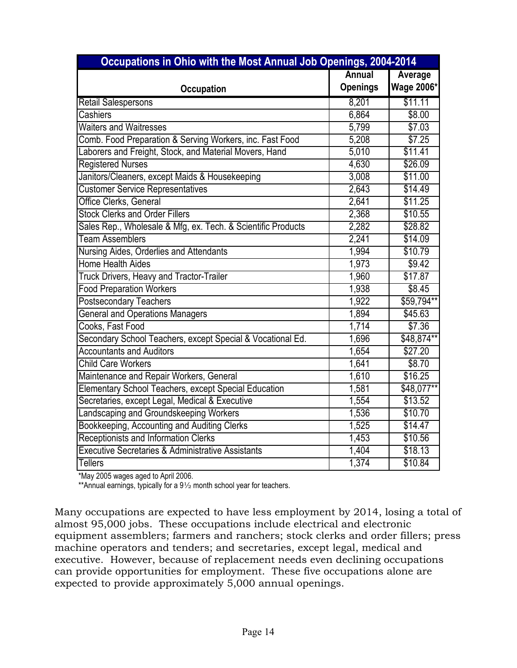| Occupations in Ohio with the Most Annual Job Openings, 2004-2014 |                 |                   |  |
|------------------------------------------------------------------|-----------------|-------------------|--|
|                                                                  | <b>Annual</b>   | Average           |  |
| <b>Occupation</b>                                                | <b>Openings</b> | <b>Wage 2006*</b> |  |
| <b>Retail Salespersons</b>                                       | 8,201           | \$11.11           |  |
| Cashiers                                                         | 6,864           | \$8.00            |  |
| <b>Waiters and Waitresses</b>                                    | 5,799           | \$7.03            |  |
| Comb. Food Preparation & Serving Workers, inc. Fast Food         | 5,208           | \$7.25            |  |
| Laborers and Freight, Stock, and Material Movers, Hand           | 5,010           | \$11.41           |  |
| <b>Registered Nurses</b>                                         | 4,630           | \$26.09           |  |
| Janitors/Cleaners, except Maids & Housekeeping                   | 3,008           | \$11.00           |  |
| <b>Customer Service Representatives</b>                          | 2,643           | \$14.49           |  |
| Office Clerks, General                                           | 2,641           | \$11.25           |  |
| <b>Stock Clerks and Order Fillers</b>                            | 2,368           | \$10.55           |  |
| Sales Rep., Wholesale & Mfg, ex. Tech. & Scientific Products     | 2,282           | \$28.82           |  |
| <b>Team Assemblers</b>                                           | 2,241           | \$14.09           |  |
| Nursing Aides, Orderlies and Attendants                          | 1,994           | \$10.79           |  |
| <b>Home Health Aides</b>                                         | 1,973           | \$9.42            |  |
| Truck Drivers, Heavy and Tractor-Trailer                         | 1,960           | \$17.87           |  |
| <b>Food Preparation Workers</b>                                  | 1,938           | \$8.45            |  |
| <b>Postsecondary Teachers</b>                                    | 1,922           | \$59,794**        |  |
| <b>General and Operations Managers</b>                           | 1,894           | \$45.63           |  |
| Cooks, Fast Food                                                 | 1,714           | \$7.36            |  |
| Secondary School Teachers, except Special & Vocational Ed.       | 1,696           | \$48,874**        |  |
| <b>Accountants and Auditors</b>                                  | 1,654           | \$27.20           |  |
| <b>Child Care Workers</b>                                        | 1,641           | \$8.70            |  |
| Maintenance and Repair Workers, General                          | 1,610           | \$16.25           |  |
| Elementary School Teachers, except Special Education             | 1,581           | \$48,077**        |  |
| Secretaries, except Legal, Medical & Executive                   | 1,554           | \$13.52           |  |
| Landscaping and Groundskeeping Workers                           | 1,536           | \$10.70           |  |
| Bookkeeping, Accounting and Auditing Clerks                      | 1,525           | \$14.47           |  |
| Receptionists and Information Clerks                             | 1,453           | \$10.56           |  |
| <b>Executive Secretaries &amp; Administrative Assistants</b>     | 1,404           | \$18.13           |  |
| <b>Tellers</b>                                                   | 1,374           | \$10.84           |  |

\*May 2005 wages aged to April 2006.

\*\*Annual earnings, typically for a  $9\frac{1}{2}$  month school year for teachers.

Many occupations are expected to have less employment by 2014, losing a total of almost 95,000 jobs. These occupations include electrical and electronic equipment assemblers; farmers and ranchers; stock clerks and order fillers; press machine operators and tenders; and secretaries, except legal, medical and executive. However, because of replacement needs even declining occupations can provide opportunities for employment. These five occupations alone are expected to provide approximately 5,000 annual openings.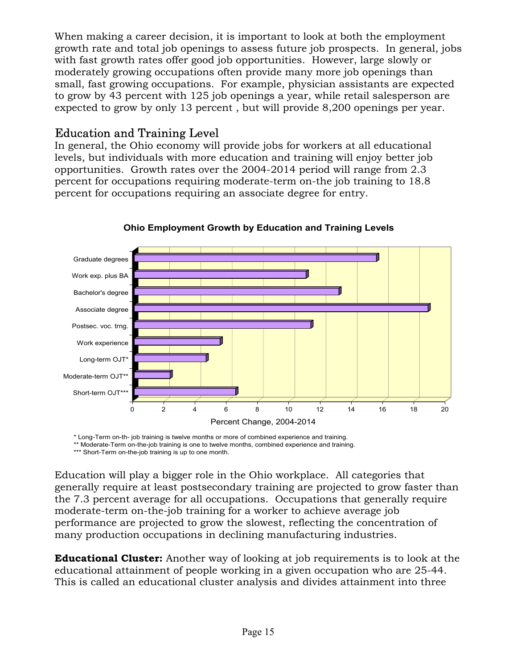When making a career decision, it is important to look at both the employment growth rate and total job openings to assess future job prospects. In general, jobs with fast growth rates offer good job opportunities. However, large slowly or moderately growing occupations often provide many more job openings than small, fast growing occupations. For example, physician assistants are expected to grow by 43 percent with 125 job openings a year, while retail salesperson are expected to grow by only 13 percent , but will provide 8,200 openings per year.

### Education and Training Level

In general, the Ohio economy will provide jobs for workers at all educational levels, but individuals with more education and training will enjoy better job opportunities. Growth rates over the 2004-2014 period will range from 2.3 percent for occupations requiring moderate-term on-the job training to 18.8 percent for occupations requiring an associate degree for entry.



**Ohio Employment Growth by Education and Training Levels**

\* Long-Term on-th- job training is twelve months or more of combined experience and training. \*\* Moderate-Term on-the-job training is one to twelve months, combined experience and training.

\*\*\* Short-Term on-the-job training is up to one month.

Education will play a bigger role in the Ohio workplace. All categories that generally require at least postsecondary training are projected to grow faster than the 7.3 percent average for all occupations. Occupations that generally require moderate-term on-the-job training for a worker to achieve average job performance are projected to grow the slowest, reflecting the concentration of many production occupations in declining manufacturing industries.

**Educational Cluster:** Another way of looking at job requirements is to look at the educational attainment of people working in a given occupation who are 25-44. This is called an educational cluster analysis and divides attainment into three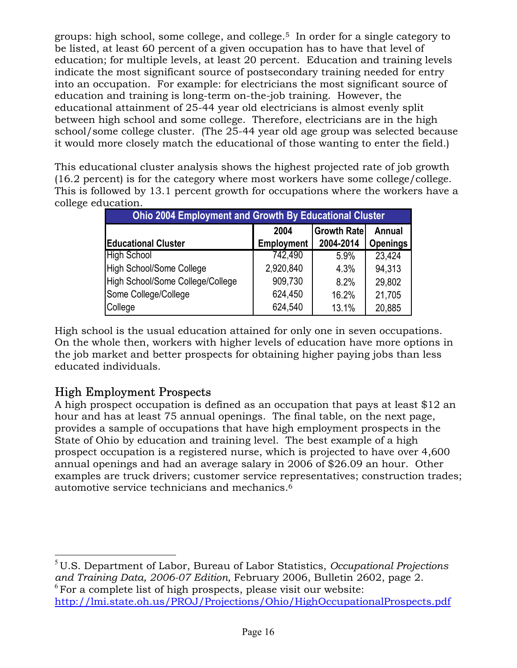groups: high school, some college, and college.5 In order for a single category to be listed, at least 60 percent of a given occupation has to have that level of education; for multiple levels, at least 20 percent. Education and training levels indicate the most significant source of postsecondary training needed for entry into an occupation. For example: for electricians the most significant source of education and training is long-term on-the-job training. However, the educational attainment of 25-44 year old electricians is almost evenly split between high school and some college. Therefore, electricians are in the high school/some college cluster. (The 25-44 year old age group was selected because it would more closely match the educational of those wanting to enter the field.)

This educational cluster analysis shows the highest projected rate of job growth (16.2 percent) is for the category where most workers have some college/college. This is followed by 13.1 percent growth for occupations where the workers have a college education.

| <b>Ohio 2004 Employment and Growth By Educational Cluster</b> |                   |                    |                 |  |
|---------------------------------------------------------------|-------------------|--------------------|-----------------|--|
|                                                               | 2004              | <b>Growth Rate</b> | Annual          |  |
| <b>Educational Cluster</b>                                    | <b>Employment</b> | 2004-2014          | <b>Openings</b> |  |
| <b>High School</b>                                            | 742,490           | 5.9%               | 23,424          |  |
| <b>High School/Some College</b>                               | 2,920,840         | 4.3%               | 94,313          |  |
| High School/Some College/College                              | 909,730           | 8.2%               | 29,802          |  |
| Some College/College                                          | 624,450           | 16.2%              | 21,705          |  |
| College                                                       | 624,540           | 13.1%              | 20,885          |  |

High school is the usual education attained for only one in seven occupations. On the whole then, workers with higher levels of education have more options in the job market and better prospects for obtaining higher paying jobs than less educated individuals.

## High Employment Prospects

 $\overline{a}$ 

A high prospect occupation is defined as an occupation that pays at least \$12 an hour and has at least 75 annual openings. The final table, on the next page, provides a sample of occupations that have high employment prospects in the State of Ohio by education and training level. The best example of a high prospect occupation is a registered nurse, which is projected to have over 4,600 annual openings and had an average salary in 2006 of \$26.09 an hour. Other examples are truck drivers; customer service representatives; construction trades; automotive service technicians and mechanics.6

<sup>5</sup>U.S. Department of Labor, Bureau of Labor Statistics, *Occupational Projections and Training Data, 2006-07 Edition,* February 2006, Bulletin 2602, page 2.  $6$  For a complete list of high prospects, please visit our website:

<http://lmi.state.oh.us/PROJ/Projections/Ohio/HighOccupationalProspects.pdf>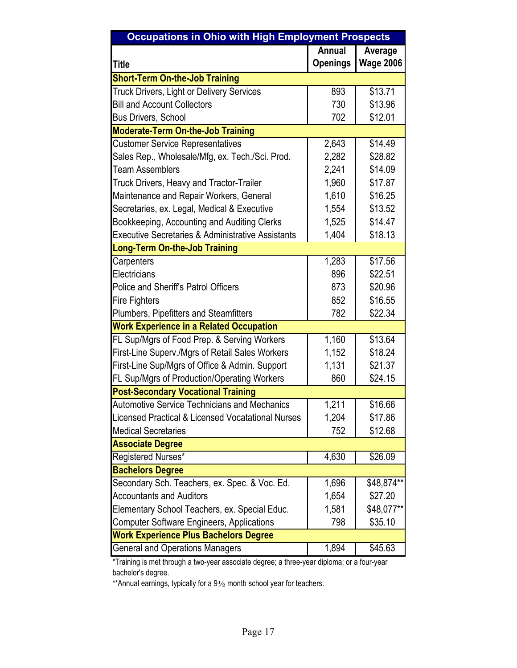| <b>Occupations in Ohio with High Employment Prospects</b>    |                 |                  |  |  |  |
|--------------------------------------------------------------|-----------------|------------------|--|--|--|
|                                                              | <b>Annual</b>   | Average          |  |  |  |
| <b>Title</b>                                                 | <b>Openings</b> | <b>Wage 2006</b> |  |  |  |
| <b>Short-Term On-the-Job Training</b>                        |                 |                  |  |  |  |
| <b>Truck Drivers, Light or Delivery Services</b>             | 893             | \$13.71          |  |  |  |
| <b>Bill and Account Collectors</b>                           | 730             | \$13.96          |  |  |  |
| Bus Drivers, School                                          | 702             | \$12.01          |  |  |  |
| <b>Moderate-Term On-the-Job Training</b>                     |                 |                  |  |  |  |
| <b>Customer Service Representatives</b>                      | 2,643           | \$14.49          |  |  |  |
| Sales Rep., Wholesale/Mfg, ex. Tech./Sci. Prod.              | 2,282           | \$28.82          |  |  |  |
| <b>Team Assemblers</b>                                       | 2,241           | \$14.09          |  |  |  |
| <b>Truck Drivers, Heavy and Tractor-Trailer</b>              | 1,960           | \$17.87          |  |  |  |
| Maintenance and Repair Workers, General                      | 1,610           | \$16.25          |  |  |  |
| Secretaries, ex. Legal, Medical & Executive                  | 1,554           | \$13.52          |  |  |  |
| Bookkeeping, Accounting and Auditing Clerks                  | 1,525           | \$14.47          |  |  |  |
| Executive Secretaries & Administrative Assistants            | 1,404           | \$18.13          |  |  |  |
| <b>Long-Term On-the-Job Training</b>                         |                 |                  |  |  |  |
| Carpenters                                                   | 1,283           | \$17.56          |  |  |  |
| Electricians                                                 | 896             | \$22.51          |  |  |  |
| <b>Police and Sheriff's Patrol Officers</b>                  | 873             | \$20.96          |  |  |  |
| <b>Fire Fighters</b>                                         | 852             | \$16.55          |  |  |  |
| Plumbers, Pipefitters and Steamfitters                       | 782             | \$22.34          |  |  |  |
| <b>Work Experience in a Related Occupation</b>               |                 |                  |  |  |  |
| FL Sup/Mgrs of Food Prep. & Serving Workers                  | 1,160           | \$13.64          |  |  |  |
| First-Line Superv./Mgrs of Retail Sales Workers              | 1,152           | \$18.24          |  |  |  |
| First-Line Sup/Mgrs of Office & Admin. Support               | 1,131           | \$21.37          |  |  |  |
| FL Sup/Mgrs of Production/Operating Workers                  | 860             | \$24.15          |  |  |  |
| <b>Post-Secondary Vocational Training</b>                    |                 |                  |  |  |  |
| <b>Automotive Service Technicians and Mechanics</b>          | 1,211           | \$16.66          |  |  |  |
| <b>Licensed Practical &amp; Licensed Vocatational Nurses</b> | 1,204           | \$17.86          |  |  |  |
| <b>Medical Secretaries</b>                                   | 752             | \$12.68          |  |  |  |
| <b>Associate Degree</b>                                      |                 |                  |  |  |  |
| Registered Nurses*                                           | 4,630           | \$26.09          |  |  |  |
| <b>Bachelors Degree</b>                                      |                 |                  |  |  |  |
| Secondary Sch. Teachers, ex. Spec. & Voc. Ed.                | 1,696           | \$48,874**       |  |  |  |
| <b>Accountants and Auditors</b>                              | 1,654           | \$27.20          |  |  |  |
| Elementary School Teachers, ex. Special Educ.                | 1,581           | \$48,077**       |  |  |  |
| <b>Computer Software Engineers, Applications</b>             | 798             | \$35.10          |  |  |  |
| <b>Work Experience Plus Bachelors Degree</b>                 |                 |                  |  |  |  |
| <b>General and Operations Managers</b>                       | 1,894           | \$45.63          |  |  |  |

\*Training is met through a two-year associate degree; a three-year diploma; or a four-year bachelor's degree.

\*\*Annual earnings, typically for a 91/2 month school year for teachers.